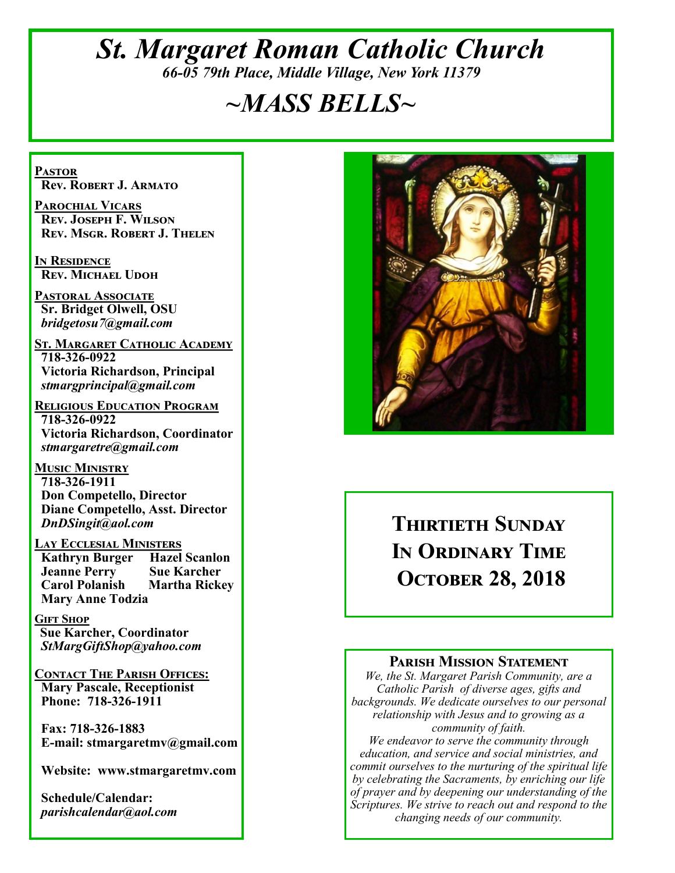## *St. Margaret Roman Catholic Church 66-05 79th Place, Middle Village, New York 11379*

## *~MASS BELLS~*

**Pastor Rev. Robert J. Armato**

**Parochial Vicars Rev. Joseph F. Wilson Rev. Msgr. Robert J. Thelen**

**In Residence Rev. Michael Udoh**

**Pastoral Associate Sr. Bridget Olwell, OSU**  *bridgetosu7@gmail.com*

**St. Margaret Catholic Academy 718-326-0922 Victoria Richardson, Principal**  *stmargprincipal@gmail.com*

**Religious Education Program 718-326-0922 Victoria Richardson, Coordinator** *stmargaretre@gmail.com*

**Music Ministry 718-326-1911 Don Competello, Director Diane Competello, Asst. Director** *DnDSingit@aol.com*

**Lay Ecclesial Ministers Kathryn Burger Jeanne Perry Sue Karcher Carol Polanish Martha Rickey Mary Anne Todzia**

**Gift Shop Sue Karcher, Coordinator** *StMargGiftShop@yahoo.com*

**Contact The Parish Offices: Mary Pascale, Receptionist Phone: 718-326-1911** 

 **Fax: 718-326-1883 E-mail: stmargaretmv@gmail.com**

 **Website: www.stmargaretmv.com**

 **Schedule/Calendar:** *parishcalendar@aol.com* 



## **Thirtieth Sunday In Ordinary Time October 28, 2018**

#### **Parish Mission Statement**

*We, the St. Margaret Parish Community, are a Catholic Parish of diverse ages, gifts and backgrounds. We dedicate ourselves to our personal relationship with Jesus and to growing as a community of faith.*

*We endeavor to serve the community through education, and service and social ministries, and commit ourselves to the nurturing of the spiritual life by celebrating the Sacraments, by enriching our life of prayer and by deepening our understanding of the Scriptures. We strive to reach out and respond to the changing needs of our community.*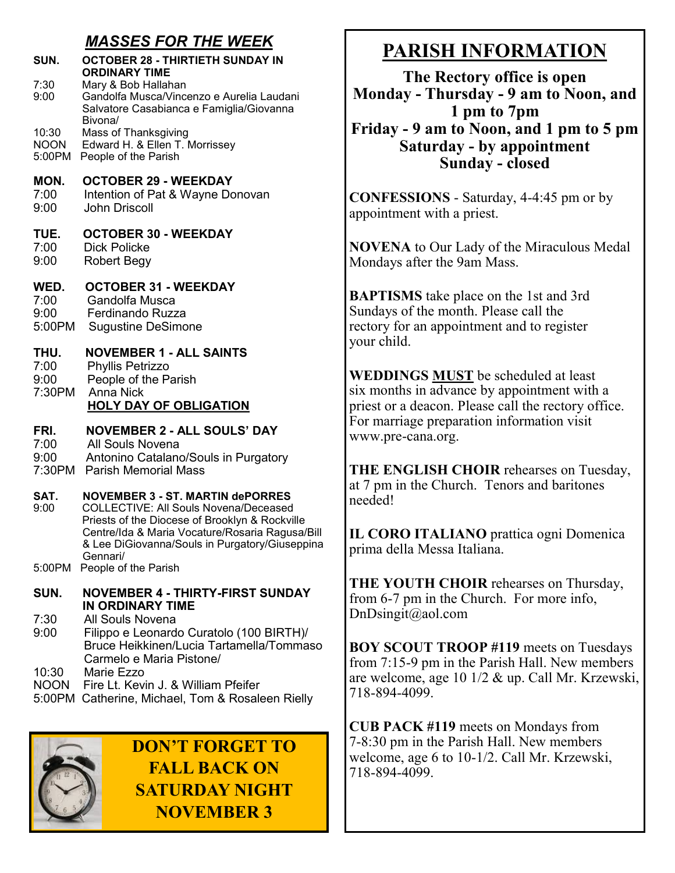### *MASSES FOR THE WEEK*

| SUN.<br>7:30<br>9:00           | <b>OCTOBER 28 - THIRTIETH SUNDAY IN</b><br><b>ORDINARY TIME</b><br>Mary & Bob Hallahan<br>Gandolfa Musca/Vincenzo e Aurelia Laudani<br>Salvatore Casabianca e Famiglia/Giovanna                                                                            |
|--------------------------------|------------------------------------------------------------------------------------------------------------------------------------------------------------------------------------------------------------------------------------------------------------|
| 10:30<br><b>NOON</b><br>5:00PM | Bivona/<br>Mass of Thanksgiving<br>Edward H. & Ellen T. Morrissey<br>People of the Parish                                                                                                                                                                  |
| MON.<br>7:00<br>9:00           | <b>OCTOBER 29 - WEEKDAY</b><br>Intention of Pat & Wayne Donovan<br><b>John Driscoll</b>                                                                                                                                                                    |
| TUE.<br>7:00<br>9:00           | <b>OCTOBER 30 - WEEKDAY</b><br><b>Dick Policke</b><br>Robert Begy                                                                                                                                                                                          |
| WED.<br>7:00<br>9:00<br>5:00PM | <b>OCTOBER 31 - WEEKDAY</b><br>Gandolfa Musca<br>Ferdinando Ruzza<br><b>Sugustine DeSimone</b>                                                                                                                                                             |
| THU.<br>7:00<br>9:00<br>7:30PM | <b>NOVEMBER 1 - ALL SAINTS</b><br>Phyllis Petrizzo<br>People of the Parish<br><b>Anna Nick</b><br><b>HOLY DAY OF OBLIGATION</b>                                                                                                                            |
| FRI.<br>7:00<br>9:00           | <b>NOVEMBER 2 - ALL SOULS' DAY</b><br>All Souls Novena<br>Antonino Catalano/Souls in Purgatory<br>7:30PM Parish Memorial Mass                                                                                                                              |
| SAT.<br>9:00                   | <b>NOVEMBER 3 - ST. MARTIN dePORRES</b><br><b>COLLECTIVE: All Souls Novena/Deceased</b><br>Priests of the Diocese of Brooklyn & Rockville<br>Centre/Ida & Maria Vocature/Rosaria Ragusa/Bill<br>& Lee DiGiovanna/Souls in Purgatory/Giuseppina<br>Gennari/ |
| 5:00PM                         | People of the Parish                                                                                                                                                                                                                                       |
| SUN.                           | <b>NOVEMBER 4 - THIRTY-FIRST SUNDAY</b><br>IN ORDINARY TIME                                                                                                                                                                                                |
| 7:30<br>9:00                   | <b>All Souls Novena</b><br>Filippo e Leonardo Curatolo (100 BIRTH)/<br>Bruce Heikkinen/Lucia Tartamella/Tommaso<br>Carmelo e Maria Pistone/                                                                                                                |
| 10:30<br><b>NOON</b>           | Marie Ezzo<br>Fire Lt. Kevin J. & William Pfeifer<br>5:00PM Catherine, Michael, Tom & Rosaleen Rielly                                                                                                                                                      |



**DON'T FORGET TO FALL BACK ON SATURDAY NIGHT NOVEMBER 3**

## **PARISH INFORMATION**

**The Rectory office is open Monday - Thursday - 9 am to Noon, and 1 pm to 7pm Friday - 9 am to Noon, and 1 pm to 5 pm Saturday - by appointment Sunday - closed**

**CONFESSIONS** - Saturday, 4-4:45 pm or by appointment with a priest.

**NOVENA** to Our Lady of the Miraculous Medal Mondays after the 9am Mass.

**BAPTISMS** take place on the 1st and 3rd Sundays of the month. Please call the rectory for an appointment and to register your child.

**WEDDINGS MUST** be scheduled at least six months in advance by appointment with a priest or a deacon. Please call the rectory office. For marriage preparation information visit www.pre-cana.org.

**THE ENGLISH CHOIR** rehearses on Tuesday, at 7 pm in the Church. Tenors and baritones needed!

**IL CORO ITALIANO** prattica ogni Domenica prima della Messa Italiana.

**THE YOUTH CHOIR** rehearses on Thursday, from 6-7 pm in the Church. For more info, DnDsingit@aol.com

**BOY SCOUT TROOP #119** meets on Tuesdays from 7:15-9 pm in the Parish Hall. New members are welcome, age 10 1/2 & up. Call Mr. Krzewski, 718-894-4099.

**CUB PACK #119** meets on Mondays from 7-8:30 pm in the Parish Hall. New members welcome, age 6 to 10-1/2. Call Mr. Krzewski, 718-894-4099.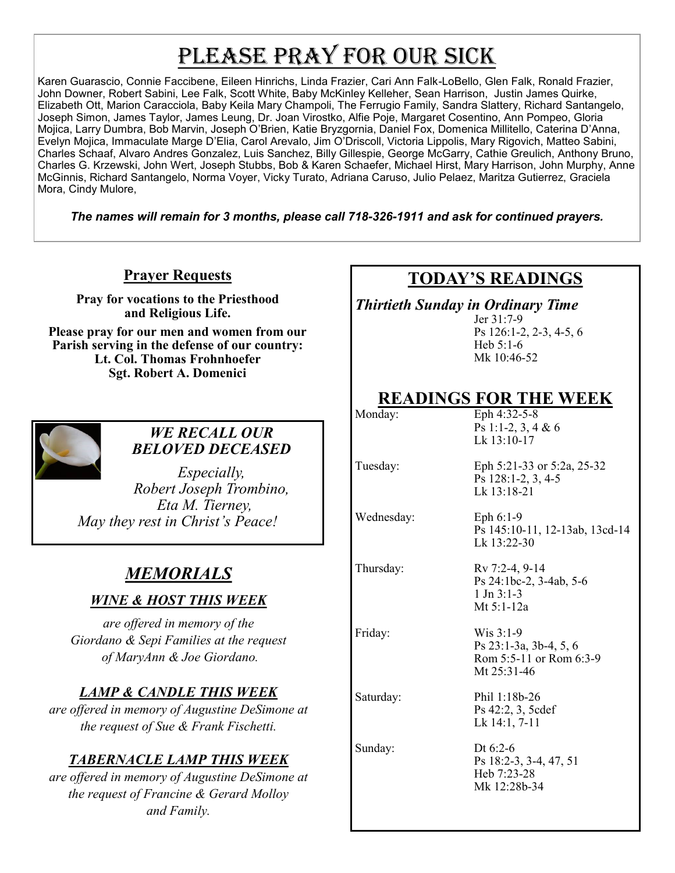# PLEASE PRAY FOR OUR SICK

Karen Guarascio, Connie Faccibene, Eileen Hinrichs, Linda Frazier, Cari Ann Falk-LoBello, Glen Falk, Ronald Frazier, John Downer, Robert Sabini, Lee Falk, Scott White, Baby McKinley Kelleher, Sean Harrison, Justin James Quirke, Elizabeth Ott, Marion Caracciola, Baby Keila Mary Champoli, The Ferrugio Family, Sandra Slattery, Richard Santangelo, Joseph Simon, James Taylor, James Leung, Dr. Joan Virostko, Alfie Poje, Margaret Cosentino, Ann Pompeo, Gloria Mojica, Larry Dumbra, Bob Marvin, Joseph O'Brien, Katie Bryzgornia, Daniel Fox, Domenica Millitello, Caterina D'Anna, Evelyn Mojica, Immaculate Marge D'Elia, Carol Arevalo, Jim O'Driscoll, Victoria Lippolis, Mary Rigovich, Matteo Sabini, Charles Schaaf, Alvaro Andres Gonzalez, Luis Sanchez, Billy Gillespie, George McGarry, Cathie Greulich, Anthony Bruno, Charles G. Krzewski, John Wert, Joseph Stubbs, Bob & Karen Schaefer, Michael Hirst, Mary Harrison, John Murphy, Anne McGinnis, Richard Santangelo, Norma Voyer, Vicky Turato, Adriana Caruso, Julio Pelaez, Maritza Gutierrez, Graciela Mora, Cindy Mulore,

*The names will remain for 3 months, please call 718-326-1911 and ask for continued prayers.*

#### **Prayer Requests**

**Pray for vocations to the Priesthood and Religious Life.** 

**Please pray for our men and women from our Parish serving in the defense of our country: Lt. Col. Thomas Frohnhoefer Sgt. Robert A. Domenici** 



#### *WE RECALL OUR BELOVED DECEASED*

*Especially, Robert Joseph Trombino, Eta M. Tierney, May they rest in Christ's Peace!*

## *MEMORIALS*

#### *WINE & HOST THIS WEEK*

*are offered in memory of the Giordano & Sepi Families at the request of MaryAnn & Joe Giordano.*

#### *LAMP & CANDLE THIS WEEK*

*are offered in memory of Augustine DeSimone at the request of Sue & Frank Fischetti.*

#### *TABERNACLE LAMP THIS WEEK*

*are offered in memory of Augustine DeSimone at the request of Francine & Gerard Molloy and Family.*

## **TODAY'S READINGS**

*Thirtieth Sunday in Ordinary Time*

Jer 31:7-9 Ps 126:1-2, 2-3, 4-5, 6 Heb 5:1-6 Mk 10:46-52

# **READINGS FOR THE WEEK**<br>Eph 4:32-5-8

Eph 4:32-5-8 Ps 1:1-2, 3, 4 & 6 Lk 13:10-17

Lk 13:22-30

1 Jn 3:1-3 Mt 5:1-12a

Tuesday: Eph 5:21-33 or 5:2a, 25-32 Ps 128:1-2, 3, 4-5 Lk 13:18-21

Ps 24:1bc-2, 3-4ab, 5-6

Ps 145:10-11, 12-13ab, 13cd-14

Wednesday: Eph 6:1-9

Thursday: Rv 7:2-4, 9-14

Friday: Wis 3:1-9

Ps 23:1-3a, 3b-4, 5, 6 Rom 5:5-11 or Rom 6:3-9 Mt 25:31-46 Saturday: Phil 1:18b-26

Ps 42:2, 3, 5cdef Lk 14:1, 7-11

Sunday: Dt 6:2-6 Ps 18:2-3, 3-4, 47, 51 Heb 7:23-28 Mk 12:28b-34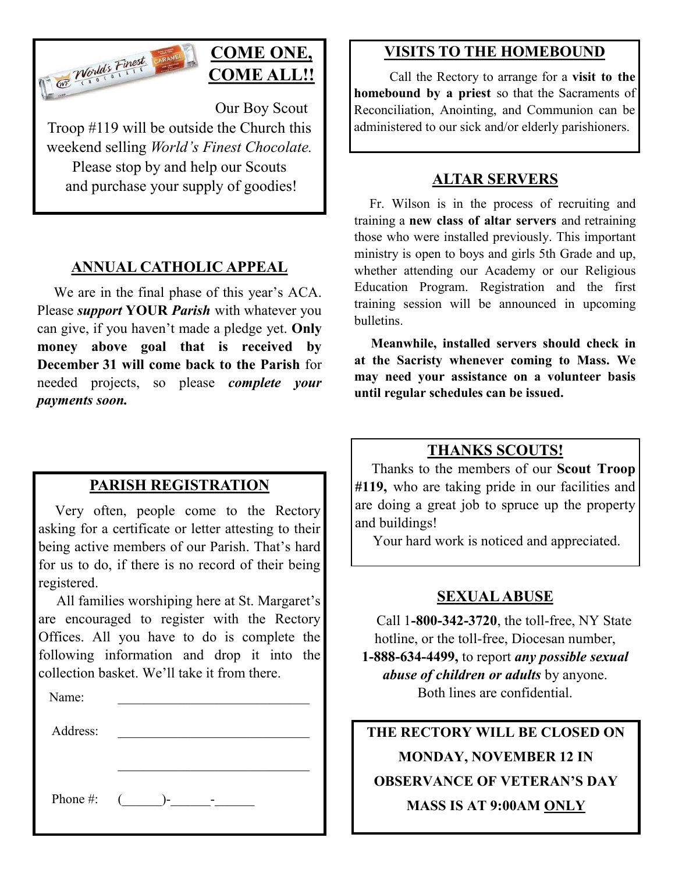

## **COME ONE, COME ALL!!**

Our Boy Scout Troop #119 will be outside the Church this weekend selling *World's Finest Chocolate.* Please stop by and help our Scouts and purchase your supply of goodies!

#### **ANNUAL CATHOLIC APPEAL**

 We are in the final phase of this year's ACA. Please *support* **YOUR** *Parish* with whatever you can give, if you haven't made a pledge yet. **Only money above goal that is received by December 31 will come back to the Parish** for needed projects, so please *complete your payments soon.*

#### **PARISH REGISTRATION**

 Very often, people come to the Rectory asking for a certificate or letter attesting to their being active members of our Parish. That's hard for us to do, if there is no record of their being registered.

 All families worshiping here at St. Margaret's are encouraged to register with the Rectory Offices. All you have to do is complete the following information and drop it into the collection basket. We'll take it from there. Ĭ

| Name:    |                  |
|----------|------------------|
| Address: |                  |
|          |                  |
|          |                  |
| Phone #: | $\sqrt{2}$<br>۱– |
|          |                  |

#### **VISITS TO THE HOMEBOUND**

 Call the Rectory to arrange for a **visit to the homebound by a priest** so that the Sacraments of Reconciliation, Anointing, and Communion can be administered to our sick and/or elderly parishioners.

#### **ALTAR SERVERS**

 Fr. Wilson is in the process of recruiting and training a **new class of altar servers** and retraining those who were installed previously. This important ministry is open to boys and girls 5th Grade and up, whether attending our Academy or our Religious Education Program. Registration and the first training session will be announced in upcoming bulletins.

 **Meanwhile, installed servers should check in at the Sacristy whenever coming to Mass. We may need your assistance on a volunteer basis until regular schedules can be issued.** 

#### **THANKS SCOUTS!**

 Thanks to the members of our **Scout Troop #119,** who are taking pride in our facilities and are doing a great job to spruce up the property and buildings!

Your hard work is noticed and appreciated.

#### **SEXUAL ABUSE**

 Call 1**-800-342-3720**, the toll-free, NY State hotline, or the toll-free, Diocesan number, **1-888-634-4499,** to report *any possible sexual abuse of children or adults* by anyone. Both lines are confidential.

**THE RECTORY WILL BE CLOSED ON MONDAY, NOVEMBER 12 IN OBSERVANCE OF VETERAN'S DAY MASS IS AT 9:00AM ONLY**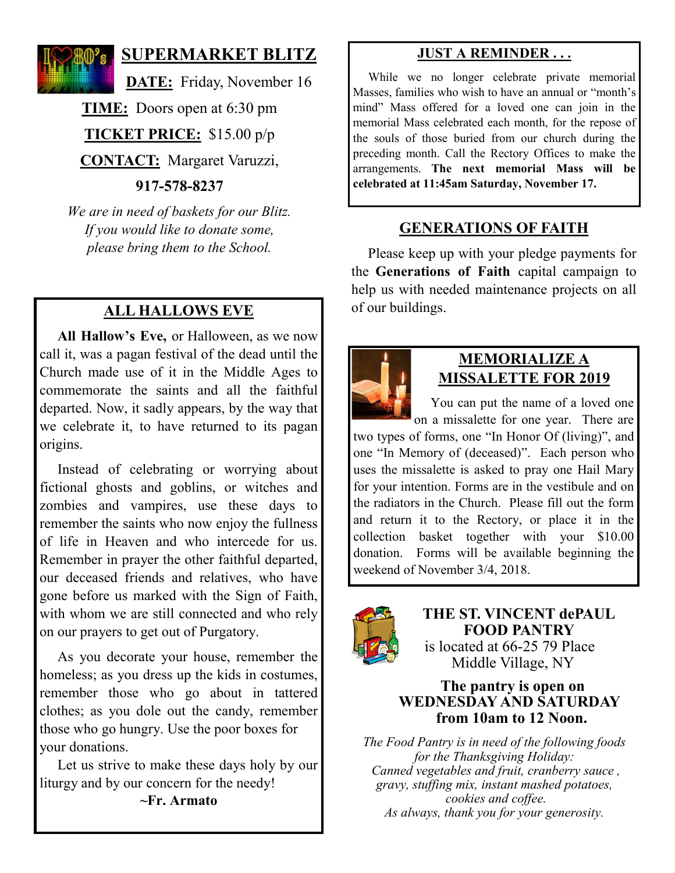

#### **SUPERMARKET BLITZ**

**DATE:** Friday, November 16

**TIME:** Doors open at 6:30 pm

**TICKET PRICE:** \$15.00 p/p

**CONTACT:** Margaret Varuzzi,

**917-578-8237**

*We are in need of baskets for our Blitz. If you would like to donate some, please bring them to the School.*

### **ALL HALLOWS EVE**

 **All Hallow's Eve,** or Halloween, as we now call it, was a pagan festival of the dead until the Church made use of it in the Middle Ages to commemorate the saints and all the faithful departed. Now, it sadly appears, by the way that we celebrate it, to have returned to its pagan origins.

 Instead of celebrating or worrying about fictional ghosts and goblins, or witches and zombies and vampires, use these days to remember the saints who now enjoy the fullness of life in Heaven and who intercede for us. Remember in prayer the other faithful departed, our deceased friends and relatives, who have gone before us marked with the Sign of Faith, with whom we are still connected and who rely on our prayers to get out of Purgatory.

 As you decorate your house, remember the homeless; as you dress up the kids in costumes, remember those who go about in tattered clothes; as you dole out the candy, remember those who go hungry. Use the poor boxes for your donations.

 Let us strive to make these days holy by our liturgy and by our concern for the needy!

#### **~Fr. Armato**

#### **JUST A REMINDER . . .**

 While we no longer celebrate private memorial Masses, families who wish to have an annual or "month's mind" Mass offered for a loved one can join in the memorial Mass celebrated each month, for the repose of the souls of those buried from our church during the preceding month. Call the Rectory Offices to make the arrangements. **The next memorial Mass will be celebrated at 11:45am Saturday, November 17.** 

#### **GENERATIONS OF FAITH**

 Please keep up with your pledge payments for the **Generations of Faith** capital campaign to help us with needed maintenance projects on all of our buildings.



#### **MEMORIALIZE A MISSALETTE FOR 2019**

 You can put the name of a loved one on a missalette for one year. There are

two types of forms, one "In Honor Of (living)", and one "In Memory of (deceased)". Each person who uses the missalette is asked to pray one Hail Mary for your intention. Forms are in the vestibule and on the radiators in the Church. Please fill out the form and return it to the Rectory, or place it in the collection basket together with your \$10.00 donation. Forms will be available beginning the weekend of November 3/4, 2018.



**THE ST. VINCENT dePAUL FOOD PANTRY** is located at 66-25 79 Place Middle Village, NY

#### **The pantry is open on WEDNESDAY AND SATURDAY from 10am to 12 Noon.**

*The Food Pantry is in need of the following foods for the Thanksgiving Holiday: Canned vegetables and fruit, cranberry sauce , gravy, stuffing mix, instant mashed potatoes, cookies and coffee. As always, thank you for your generosity.*